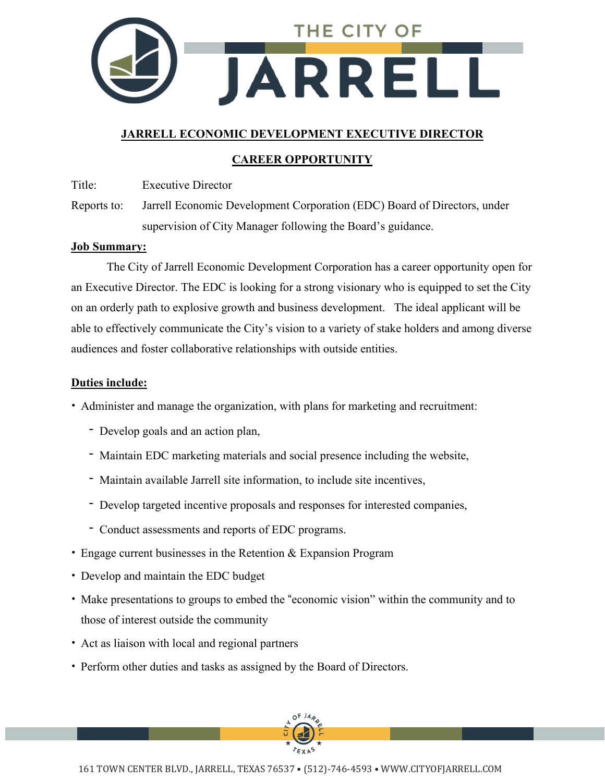

## **JARRELL ECONOMIC DEVELOPMENT EXECUTIVE DIRECTOR**

# **CAREER OPPORTUNITY**

Title: Executive Director

Reports to: Jarrell Economic Development Corporation (EDC) Board of Directors, under supervision of City Manager following the Board's guidance.

#### **Job Summary:**

The City of Jarrell Economic Development Corporation has a career opportunity open for an Executive Director. The EDC is looking for a strong visionary who is equipped to set the City on an orderly path to explosive growth and business development. The ideal applicant will be able to effectively communicate the City's vision to a variety of stake holders and among diverse audiences and foster collaborative relationships with outside entities.

### **Duties include:**

- Administer and manage the organization, with plans for marketing and recruitment:
	- Develop goals and an action plan,
	- Maintain EDC marketing materials and social presence including the website,
	- Maintain available Jarrell site information, to include site incentives,
	- Develop targeted incentive proposals and responses for interested companies,
	- Conduct assessments and reports of EDC programs.
- Engage current businesses in the Retention & Expansion Program
- Develop and maintain the EDC budget
- Make presentations to groups to embed the "economic vision" within the community and to those of interest outside the community
- Act as liaison with local and regional partners
- Perform other duties and tasks as assigned by the Board of Directors.